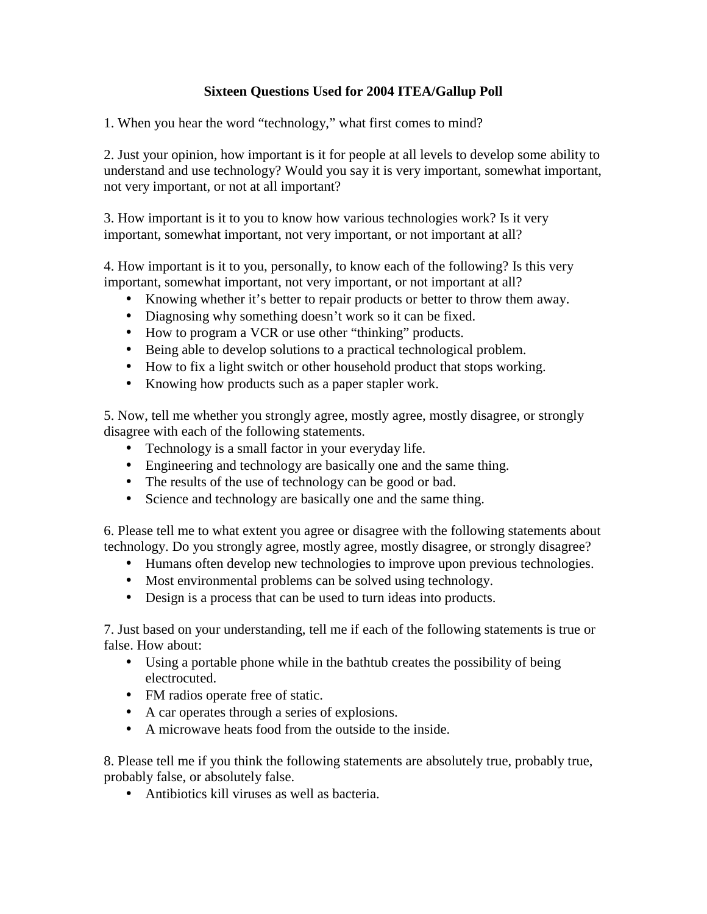## **Sixteen Questions Used for 2004 ITEA/Gallup Poll**

1. When you hear the word "technology," what first comes to mind?

2. Just your opinion, how important is it for people at all levels to develop some ability to understand and use technology? Would you say it is very important, somewhat important, not very important, or not at all important?

3. How important is it to you to know how various technologies work? Is it very important, somewhat important, not very important, or not important at all?

4. How important is it to you, personally, to know each of the following? Is this very important, somewhat important, not very important, or not important at all?

- Knowing whether it's better to repair products or better to throw them away.
- Diagnosing why something doesn't work so it can be fixed.
- How to program a VCR or use other "thinking" products.
- Being able to develop solutions to a practical technological problem.
- How to fix a light switch or other household product that stops working.
- Knowing how products such as a paper stapler work.

5. Now, tell me whether you strongly agree, mostly agree, mostly disagree, or strongly disagree with each of the following statements.

- Technology is a small factor in your everyday life.
- Engineering and technology are basically one and the same thing.
- The results of the use of technology can be good or bad.
- Science and technology are basically one and the same thing.

6. Please tell me to what extent you agree or disagree with the following statements about technology. Do you strongly agree, mostly agree, mostly disagree, or strongly disagree?

- Humans often develop new technologies to improve upon previous technologies.
- Most environmental problems can be solved using technology.
- Design is a process that can be used to turn ideas into products.

7. Just based on your understanding, tell me if each of the following statements is true or false. How about:

- Using a portable phone while in the bathtub creates the possibility of being electrocuted.
- FM radios operate free of static.
- A car operates through a series of explosions.
- A microwave heats food from the outside to the inside.

8. Please tell me if you think the following statements are absolutely true, probably true, probably false, or absolutely false.

• Antibiotics kill viruses as well as bacteria.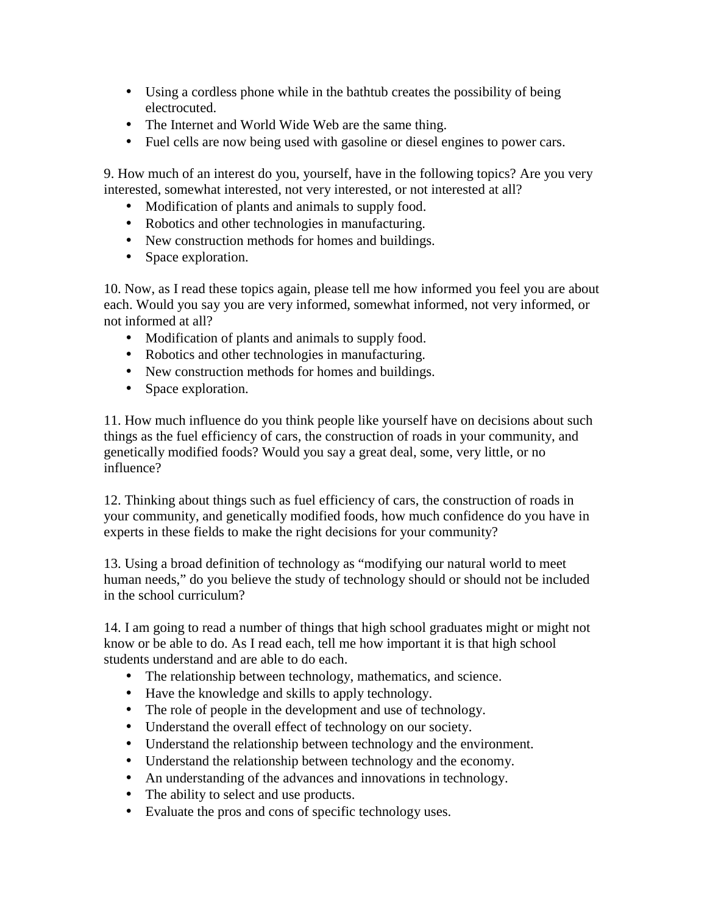- Using a cordless phone while in the bathtub creates the possibility of being electrocuted.
- The Internet and World Wide Web are the same thing.
- Fuel cells are now being used with gasoline or diesel engines to power cars.

9. How much of an interest do you, yourself, have in the following topics? Are you very interested, somewhat interested, not very interested, or not interested at all?

- Modification of plants and animals to supply food.
- Robotics and other technologies in manufacturing.
- New construction methods for homes and buildings.
- Space exploration.

10. Now, as I read these topics again, please tell me how informed you feel you are about each. Would you say you are very informed, somewhat informed, not very informed, or not informed at all?

- Modification of plants and animals to supply food.
- Robotics and other technologies in manufacturing.
- New construction methods for homes and buildings.
- Space exploration.

11. How much influence do you think people like yourself have on decisions about such things as the fuel efficiency of cars, the construction of roads in your community, and genetically modified foods? Would you say a great deal, some, very little, or no influence?

12. Thinking about things such as fuel efficiency of cars, the construction of roads in your community, and genetically modified foods, how much confidence do you have in experts in these fields to make the right decisions for your community?

13. Using a broad definition of technology as "modifying our natural world to meet human needs," do you believe the study of technology should or should not be included in the school curriculum?

14. I am going to read a number of things that high school graduates might or might not know or be able to do. As I read each, tell me how important it is that high school students understand and are able to do each.

- The relationship between technology, mathematics, and science.
- Have the knowledge and skills to apply technology.
- The role of people in the development and use of technology.
- Understand the overall effect of technology on our society.
- Understand the relationship between technology and the environment.
- Understand the relationship between technology and the economy.
- An understanding of the advances and innovations in technology.
- The ability to select and use products.
- Evaluate the pros and cons of specific technology uses.